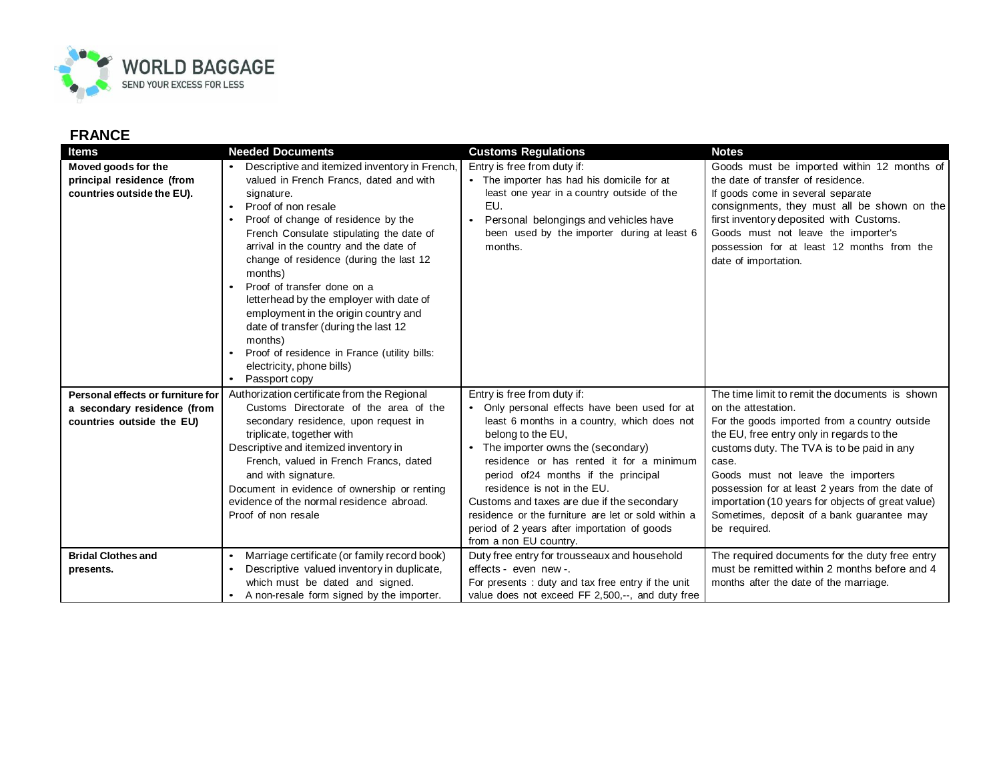

## **FRANCE**

| <b>Items</b>                                                                                  | <b>Needed Documents</b>                                                                                                                                                                                                                                                                                                                                                                                                                                                                                                                                                                                                         | <b>Customs Regulations</b>                                                                                                                                                                                                                                                                                                                                                                                                                                                             | <b>Notes</b>                                                                                                                                                                                                                                                                                                                                                                                                                            |
|-----------------------------------------------------------------------------------------------|---------------------------------------------------------------------------------------------------------------------------------------------------------------------------------------------------------------------------------------------------------------------------------------------------------------------------------------------------------------------------------------------------------------------------------------------------------------------------------------------------------------------------------------------------------------------------------------------------------------------------------|----------------------------------------------------------------------------------------------------------------------------------------------------------------------------------------------------------------------------------------------------------------------------------------------------------------------------------------------------------------------------------------------------------------------------------------------------------------------------------------|-----------------------------------------------------------------------------------------------------------------------------------------------------------------------------------------------------------------------------------------------------------------------------------------------------------------------------------------------------------------------------------------------------------------------------------------|
| Moved goods for the<br>principal residence (from<br>countries outside the EU).                | Descriptive and itemized inventory in French,<br>valued in French Francs, dated and with<br>signature.<br>Proof of non resale<br>$\bullet$<br>Proof of change of residence by the<br>$\bullet$<br>French Consulate stipulating the date of<br>arrival in the country and the date of<br>change of residence (during the last 12<br>months)<br>Proof of transfer done on a<br>$\bullet$<br>letterhead by the employer with date of<br>employment in the origin country and<br>date of transfer (during the last 12<br>months)<br>Proof of residence in France (utility bills:<br>electricity, phone bills)<br>Passport copy<br>٠ | Entry is free from duty if:<br>• The importer has had his domicile for at<br>least one year in a country outside of the<br>EU.<br>Personal belongings and vehicles have<br>been used by the importer during at least 6<br>months.                                                                                                                                                                                                                                                      | Goods must be imported within 12 months of<br>the date of transfer of residence.<br>If goods come in several separate<br>consignments, they must all be shown on the<br>first inventory deposited with Customs.<br>Goods must not leave the importer's<br>possession for at least 12 months from the<br>date of importation.                                                                                                            |
| Personal effects or furniture for<br>a secondary residence (from<br>countries outside the EU) | Authorization certificate from the Regional<br>Customs Directorate of the area of the<br>secondary residence, upon request in<br>triplicate, together with<br>Descriptive and itemized inventory in<br>French, valued in French Francs, dated<br>and with signature.<br>Document in evidence of ownership or renting<br>evidence of the normal residence abroad.<br>Proof of non resale                                                                                                                                                                                                                                         | Entry is free from duty if:<br>• Only personal effects have been used for at<br>least 6 months in a country, which does not<br>belong to the EU,<br>The importer owns the (secondary)<br>residence or has rented it for a minimum<br>period of24 months if the principal<br>residence is not in the EU.<br>Customs and taxes are due if the secondary<br>residence or the furniture are let or sold within a<br>period of 2 years after importation of goods<br>from a non EU country. | The time limit to remit the documents is shown<br>on the attestation.<br>For the goods imported from a country outside<br>the EU, free entry only in regards to the<br>customs duty. The TVA is to be paid in any<br>case.<br>Goods must not leave the importers<br>possession for at least 2 years from the date of<br>importation (10 years for objects of great value)<br>Sometimes, deposit of a bank guarantee may<br>be required. |
| <b>Bridal Clothes and</b><br>presents.                                                        | Marriage certificate (or family record book)<br>$\bullet$<br>Descriptive valued inventory in duplicate,<br>$\bullet$<br>which must be dated and signed.<br>A non-resale form signed by the importer.                                                                                                                                                                                                                                                                                                                                                                                                                            | Duty free entry for trousseaux and household<br>effects - even new -.<br>For presents: duty and tax free entry if the unit<br>value does not exceed FF 2,500,--, and duty free                                                                                                                                                                                                                                                                                                         | The required documents for the duty free entry<br>must be remitted within 2 months before and 4<br>months after the date of the marriage.                                                                                                                                                                                                                                                                                               |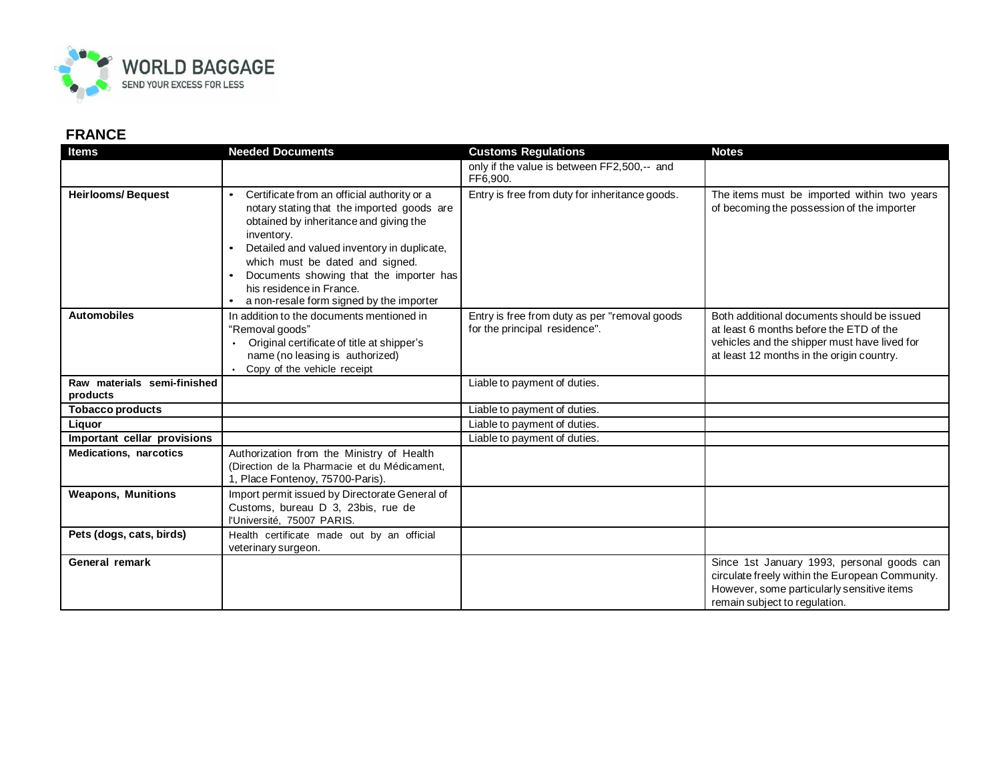

## **FRANCE**

| <b>Items</b>                            | <b>Needed Documents</b>                                                                                                                                                                                                                                                                                                                                             | <b>Customs Regulations</b>                                                     | <b>Notes</b>                                                                                                                                                                       |
|-----------------------------------------|---------------------------------------------------------------------------------------------------------------------------------------------------------------------------------------------------------------------------------------------------------------------------------------------------------------------------------------------------------------------|--------------------------------------------------------------------------------|------------------------------------------------------------------------------------------------------------------------------------------------------------------------------------|
|                                         |                                                                                                                                                                                                                                                                                                                                                                     | only if the value is between FF2,500,-- and<br>FF6,900.                        |                                                                                                                                                                                    |
| <b>Heirlooms/Bequest</b>                | Certificate from an official authority or a<br>$\bullet$<br>notary stating that the imported goods are<br>obtained by inheritance and giving the<br>inventory.<br>Detailed and valued inventory in duplicate,<br>which must be dated and signed.<br>Documents showing that the importer has<br>his residence in France.<br>a non-resale form signed by the importer | Entry is free from duty for inheritance goods.                                 | The items must be imported within two years<br>of becoming the possession of the importer                                                                                          |
| <b>Automobiles</b>                      | In addition to the documents mentioned in<br>"Removal goods"<br>Original certificate of title at shipper's<br>name (no leasing is authorized)<br>Copy of the vehicle receipt                                                                                                                                                                                        | Entry is free from duty as per "removal goods<br>for the principal residence". | Both additional documents should be issued<br>at least 6 months before the ETD of the<br>vehicles and the shipper must have lived for<br>at least 12 months in the origin country. |
| Raw materials semi-finished<br>products |                                                                                                                                                                                                                                                                                                                                                                     | Liable to payment of duties.                                                   |                                                                                                                                                                                    |
| <b>Tobacco products</b>                 |                                                                                                                                                                                                                                                                                                                                                                     | Liable to payment of duties.                                                   |                                                                                                                                                                                    |
| Liquor                                  |                                                                                                                                                                                                                                                                                                                                                                     | Liable to payment of duties.                                                   |                                                                                                                                                                                    |
| Important cellar provisions             |                                                                                                                                                                                                                                                                                                                                                                     | Liable to payment of duties.                                                   |                                                                                                                                                                                    |
| <b>Medications, narcotics</b>           | Authorization from the Ministry of Health<br>(Direction de la Pharmacie et du Médicament.<br>1, Place Fontenoy, 75700-Paris).                                                                                                                                                                                                                                       |                                                                                |                                                                                                                                                                                    |
| <b>Weapons, Munitions</b>               | Import permit issued by Directorate General of<br>Customs, bureau D 3, 23bis, rue de<br>l'Université, 75007 PARIS.                                                                                                                                                                                                                                                  |                                                                                |                                                                                                                                                                                    |
| Pets (dogs, cats, birds)                | Health certificate made out by an official<br>veterinary surgeon.                                                                                                                                                                                                                                                                                                   |                                                                                |                                                                                                                                                                                    |
| General remark                          |                                                                                                                                                                                                                                                                                                                                                                     |                                                                                | Since 1st January 1993, personal goods can<br>circulate freely within the European Community.<br>However, some particularly sensitive items<br>remain subject to regulation.       |